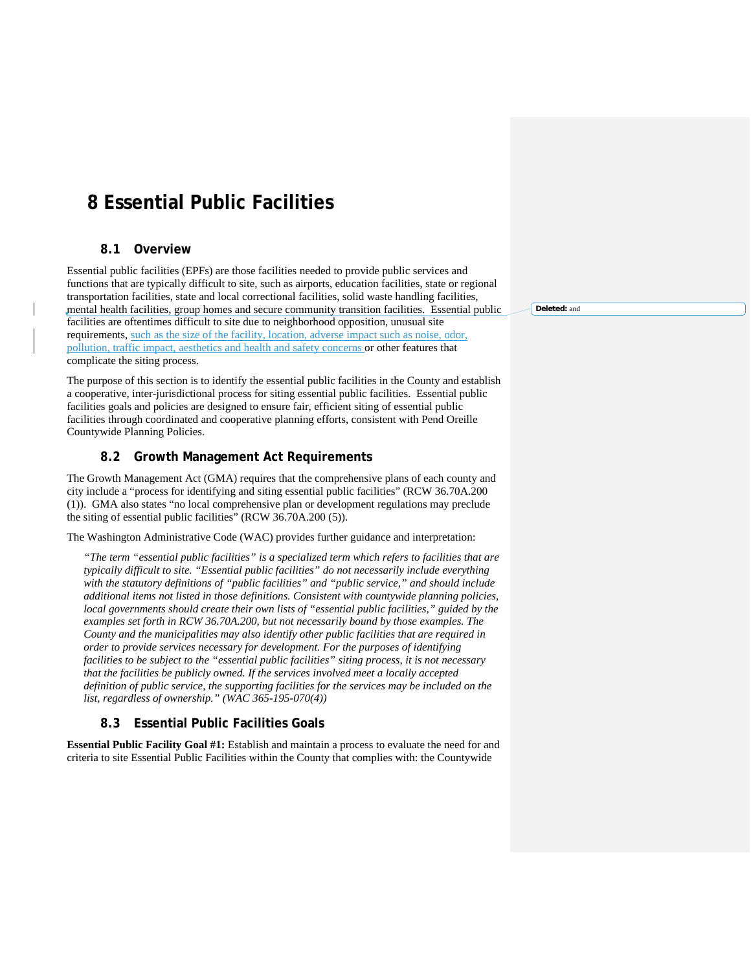# **8 Essential Public Facilities**

# **8.1 Overview**

Essential public facilities (EPFs) are those facilities needed to provide public services and functions that are typically difficult to site, such as airports, education facilities, state or regional transportation facilities, state and local correctional facilities, solid waste handling facilities, mental health facilities, group homes and secure community transition facilities. Essential public facilities are oftentimes difficult to site due to neighborhood opposition, unusual site requirements, such as the size of the facility, location, adverse impact such as noise, odor, pollution, traffic impact, aesthetics and health and safety concerns or other features that complicate the siting process.

The purpose of this section is to identify the essential public facilities in the County and establish a cooperative, inter-jurisdictional process for siting essential public facilities. Essential public facilities goals and policies are designed to ensure fair, efficient siting of essential public facilities through coordinated and cooperative planning efforts, consistent with Pend Oreille Countywide Planning Policies.

# **8.2 Growth Management Act Requirements**

The Growth Management Act (GMA) requires that the comprehensive plans of each county and city include a "process for identifying and siting essential public facilities" (RCW 36.70A.200 (1)). GMA also states "no local comprehensive plan or development regulations may preclude the siting of essential public facilities" (RCW 36.70A.200 (5)).

The Washington Administrative Code (WAC) provides further guidance and interpretation:

*"The term "essential public facilities" is a specialized term which refers to facilities that are typically difficult to site. "Essential public facilities" do not necessarily include everything with the statutory definitions of "public facilities" and "public service," and should include additional items not listed in those definitions. Consistent with countywide planning policies, local governments should create their own lists of "essential public facilities," guided by the examples set forth in RCW 36.70A.200, but not necessarily bound by those examples. The County and the municipalities may also identify other public facilities that are required in order to provide services necessary for development. For the purposes of identifying facilities to be subject to the "essential public facilities" siting process, it is not necessary that the facilities be publicly owned. If the services involved meet a locally accepted definition of public service, the supporting facilities for the services may be included on the list, regardless of ownership." (WAC 365-195-070(4))*

# **8.3 Essential Public Facilities Goals**

**Essential Public Facility Goal #1:** Establish and maintain a process to evaluate the need for and criteria to site Essential Public Facilities within the County that complies with: the Countywide

**Deleted:** and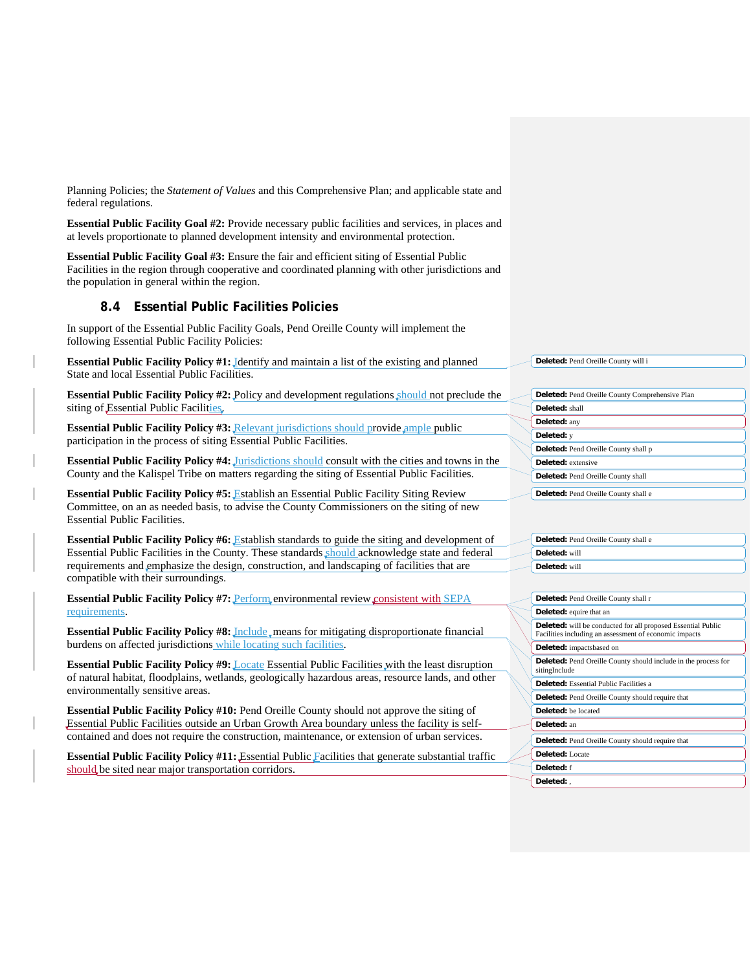Planning Policies; the *Statement of Values* and this Comprehensive Plan; and applicable state and federal regulations.

**Essential Public Facility Goal #2:** Provide necessary public facilities and services, in places and at levels proportionate to planned development intensity and environmental protection.

**Essential Public Facility Goal #3:** Ensure the fair and efficient siting of Essential Public Facilities in the region through cooperative and coordinated planning with other jurisdictions and the population in general within the region.

# **8.4 Essential Public Facilities Policies**

In support of the Essential Public Facility Goals, Pend Oreille County will implement the following Essential Public Facility Policies:

**Essential Public Facility Policy #1:** Identify and maintain a list of the existing and planned State and local Essential Public Facilities.

**Essential Public Facility Policy #2:** Policy and development regulations should not preclude the siting of Essential Public Facilities.

**Essential Public Facility Policy #3:** Relevant jurisdictions should provide ample public participation in the process of siting Essential Public Facilities.

**Essential Public Facility Policy #4:** Jurisdictions should consult with the cities and towns in the County and the Kalispel Tribe on matters regarding the siting of Essential Public Facilities.

**Essential Public Facility Policy #5:** Establish an Essential Public Facility Siting Review Committee, on an as needed basis, to advise the County Commissioners on the siting of new Essential Public Facilities.

**Essential Public Facility Policy #6:** Establish standards to guide the siting and development of Essential Public Facilities in the County. These standards should acknowledge state and federal requirements and emphasize the design, construction, and landscaping of facilities that are compatible with their surroundings.

**Essential Public Facility Policy #7: Perform environmental review consistent with SEPA** requirements.

**Essential Public Facility Policy #8:** *Include* means for mitigating disproportionate financial burdens on affected jurisdictions while locating such facilities.

**Essential Public Facility Policy #9:** Locate Essential Public Facilities with the least disruption of natural habitat, floodplains, wetlands, geologically hazardous areas, resource lands, and other environmentally sensitive areas.

**Essential Public Facility Policy #10:** Pend Oreille County should not approve the siting of Essential Public Facilities outside an Urban Growth Area boundary unless the facility is selfcontained and does not require the construction, maintenance, or extension of urban services.

**Essential Public Facility Policy #11:** Essential Public Facilities that generate substantial traffic should, be sited near major transportation corridors.

**Deleted:** Pend Oreille County will i

| <b>Deleted:</b> Pend Oreille County Comprehensive Plan |
|--------------------------------------------------------|
| Deleted: shall                                         |
| Deleted: any                                           |
| Deleted: y                                             |
| <b>Deleted:</b> Pend Oreille County shall p            |
| Deleted: extensive                                     |
| Deleted: Pend Oreille County shall                     |
| Deleted: Pend Oreille County shall e                   |

| Deleted: Pend Oreille County shall e |
|--------------------------------------|
| $\rightarrow$ Deleted: will          |
| Deleted: will                        |

| Deleted: Pend Oreille County shall r                                                                                          |
|-------------------------------------------------------------------------------------------------------------------------------|
| <b>Deleted:</b> equire that an                                                                                                |
| <b>Deleted:</b> will be conducted for all proposed Essential Public<br>Facilities including an assessment of economic impacts |
| <b>Deleted:</b> impactsbased on                                                                                               |
| Deleted: Pend Oreille County should include in the process for<br>sitingInclude                                               |
| <b>Deleted:</b> Essential Public Facilities a                                                                                 |
| <b>Deleted:</b> Pend Oreille County should require that                                                                       |
| <b>Deleted:</b> be located                                                                                                    |
| Deleted: an                                                                                                                   |
| <b>Deleted:</b> Pend Oreille County should require that                                                                       |
| Deleted: Locate                                                                                                               |
| Deleted: f                                                                                                                    |
| Deleted: .                                                                                                                    |
|                                                                                                                               |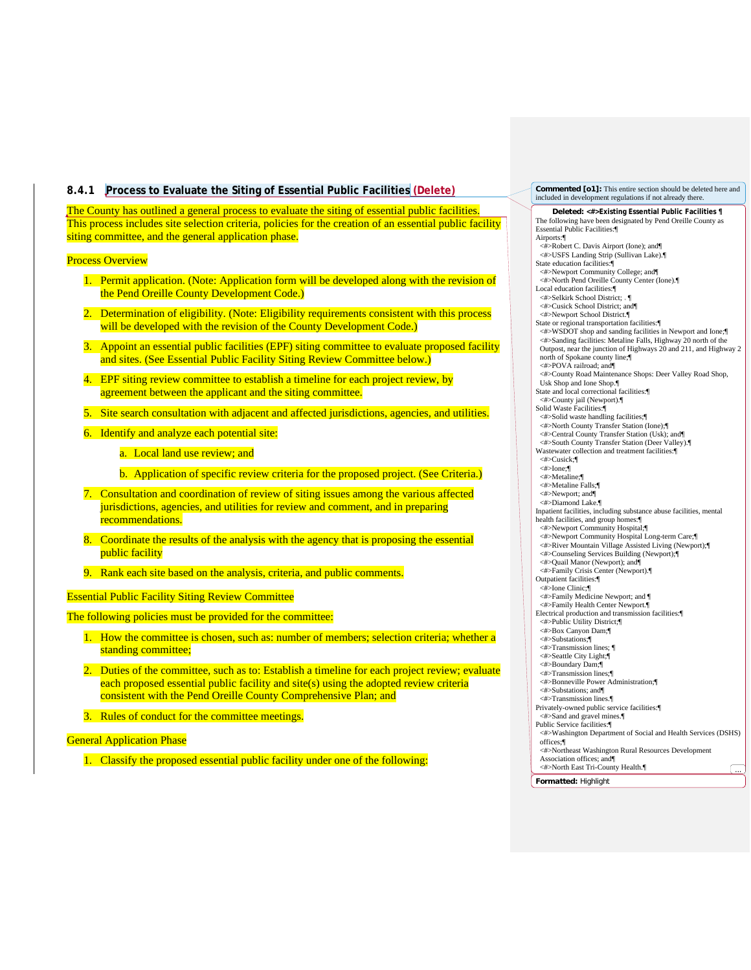# **8.4.1 Process to Evaluate the Siting of Essential Public Facilities (Delete)**

The County has outlined a general process to evaluate the siting of essential public facilities. This process includes site selection criteria, policies for the creation of an essential public facility siting committee, and the general application phase.

#### Process Overview

- 1. Permit application. (Note: Application form will be developed along with the revision of the Pend Oreille County Development Code.)
- 2. Determination of eligibility. (Note: Eligibility requirements consistent with this process will be developed with the revision of the County Development Code.)
- 3. Appoint an essential public facilities (EPF) siting committee to evaluate proposed facility and sites. (See Essential Public Facility Siting Review Committee below.)
- 4. EPF siting review committee to establish a timeline for each project review, by agreement between the applicant and the siting committee.
- 5. Site search consultation with adjacent and affected jurisdictions, agencies, and utilities.
- 6. Identify and analyze each potential site:
	- a. Local land use review; and
	- b. Application of specific review criteria for the proposed project. (See Criteria.)
- 7. Consultation and coordination of review of siting issues among the various affected jurisdictions, agencies, and utilities for review and comment, and in preparing recommendations.
- 8. Coordinate the results of the analysis with the agency that is proposing the essential public facility
- 9. Rank each site based on the analysis, criteria, and public comments.

Essential Public Facility Siting Review Committee

The following policies must be provided for the committee:

- 1. How the committee is chosen, such as: number of members; selection criteria; whether a standing committee;
- 2. Duties of the committee, such as to: Establish a timeline for each project review; evaluate each proposed essential public facility and site(s) using the adopted review criteria consistent with the Pend Oreille County Comprehensive Plan; and
- 3. Rules of conduct for the committee meetings.

### **General Application Phase**

1. Classify the proposed essential public facility under one of the following:

**Deleted: <#>Existing Essential Public Facilities ¶** The following have been designated by Pend Oreille County as Essential Public Facilities:¶ Airports:¶ <#>Robert C. Davis Airport (Ione); and¶ <#>USFS Landing Strip (Sullivan Lake).¶ State education facilities:¶ <#>Newport Community College; and¶ <#>North Pend Oreille County Center (Ione).¶ Local education facilities:¶ <#>Selkirk School District; . **Commented [o1]:** This entire section should be deleted here and included in development regulations if not already there.

- <#>Cusick School District; and¶
- <#>Newport School District.¶

State or regional transportation facilities:¶ <#>WSDOT shop and sanding facilities in Newport and Ione;¶ <#>Sanding facilities: Metaline Falls, Highway 20 north of the Outpost, near the junction of Highways 20 and 211, and Highway 2 north of Spokane county line;¶ <#>POVA railroad; and¶ <#>County Road Maintenance Shops: Deer Valley Road Shop, Usk Shop and Ione Shop.¶ State and local correctional facilities:¶ <#>County jail (Newport).¶ Solid Waste Facilities:¶ <#>Solid waste handling facilities;¶ <#>North County Transfer Station (Ione);¶ <#>Central County Transfer Station (Usk); and¶ <#>South County Transfer Station (Deer Valley).¶ Wastewater collection and treatment facilities:¶ <#>Cusick;¶ <#>Ione;¶ <#>Metaline;¶ <#>Metaline Falls;¶ <#>Newport; and¶ <#>Diamond Lake.¶ Inpatient facilities, including substance abuse facilities, mental health facilities, and group homes:¶

- <#>Newport Community Hospital;¶ <#>Newport Community Hospital Long-term Care;¶ <#>River Mountain Village Assisted Living (Newport);¶ <#>Counseling Services Building (Newport);¶ <#>Quail Manor (Newport); and¶ <#>Family Crisis Center (Newport).¶
	- Outpatient facilities:¶
	- <#>Ione Clinic;¶ <#>Family Medicine Newport; and ¶
	- <#>Family Health Center Newport.¶
	- Electrical production and transmission facilities:¶
	- <#>Public Utility District;¶
	- <#>Box Canyon Dam;¶ <#>Substations;¶
	- <#>Transmission lines; ¶
	- <#>Seattle City Light;¶ <#>Boundary Dam;¶
	- <#>Transmission lines;¶
	- <#>Bonneville Power Administration;¶ <#>Substations; and¶
	- <#>Transmission lines.¶
	- Privately-owned public service facilities:¶
	- <#>Sand and gravel mines.¶ Public Service facilities:¶
	- <#>Washington Department of Social and Health Services (DSHS) offices;¶
	- <#>Northeast Washington Rural Resources Development
	- Association offices; and¶<br>
	<#>North East Tri-County Health.¶ ....

**Formatted:** Highlight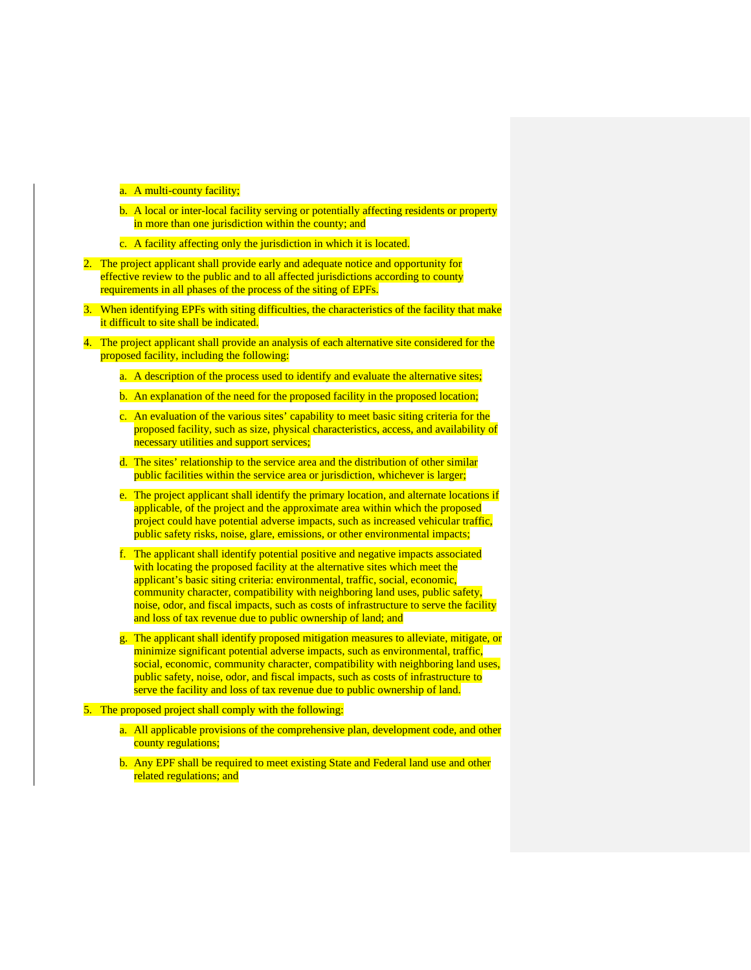a. A multi-county facility;

- b. A local or inter-local facility serving or potentially affecting residents or property in more than one jurisdiction within the county; and
- c. A facility affecting only the jurisdiction in which it is located.
- 2. The project applicant shall provide early and adequate notice and opportunity for effective review to the public and to all affected jurisdictions according to county requirements in all phases of the process of the siting of EPFs.
- 3. When identifying EPFs with siting difficulties, the characteristics of the facility that make it difficult to site shall be indicated.
- 4. The project applicant shall provide an analysis of each alternative site considered for the proposed facility, including the following:
	- a. A description of the process used to identify and evaluate the alternative sites;
	- b. An explanation of the need for the proposed facility in the proposed location;
	- c. An evaluation of the various sites' capability to meet basic siting criteria for the proposed facility, such as size, physical characteristics, access, and availability of necessary utilities and support services;
	- d. The sites' relationship to the service area and the distribution of other similar public facilities within the service area or jurisdiction, whichever is larger;
	- e. The project applicant shall identify the primary location, and alternate locations if applicable, of the project and the approximate area within which the proposed project could have potential adverse impacts, such as increased vehicular traffic, public safety risks, noise, glare, emissions, or other environmental impacts;
	- f. The applicant shall identify potential positive and negative impacts associated with locating the proposed facility at the alternative sites which meet the applicant's basic siting criteria: environmental, traffic, social, economic, community character, compatibility with neighboring land uses, public safety, noise, odor, and fiscal impacts, such as costs of infrastructure to serve the facility and loss of tax revenue due to public ownership of land; and
	- g. The applicant shall identify proposed mitigation measures to alleviate, mitigate, or minimize significant potential adverse impacts, such as environmental, traffic, social, economic, community character, compatibility with neighboring land uses, public safety, noise, odor, and fiscal impacts, such as costs of infrastructure to serve the facility and loss of tax revenue due to public ownership of land.
- 5. The proposed project shall comply with the following:
	- a. All applicable provisions of the comprehensive plan, development code, and other county regulations;
	- b. Any EPF shall be required to meet existing State and Federal land use and other related regulations; and